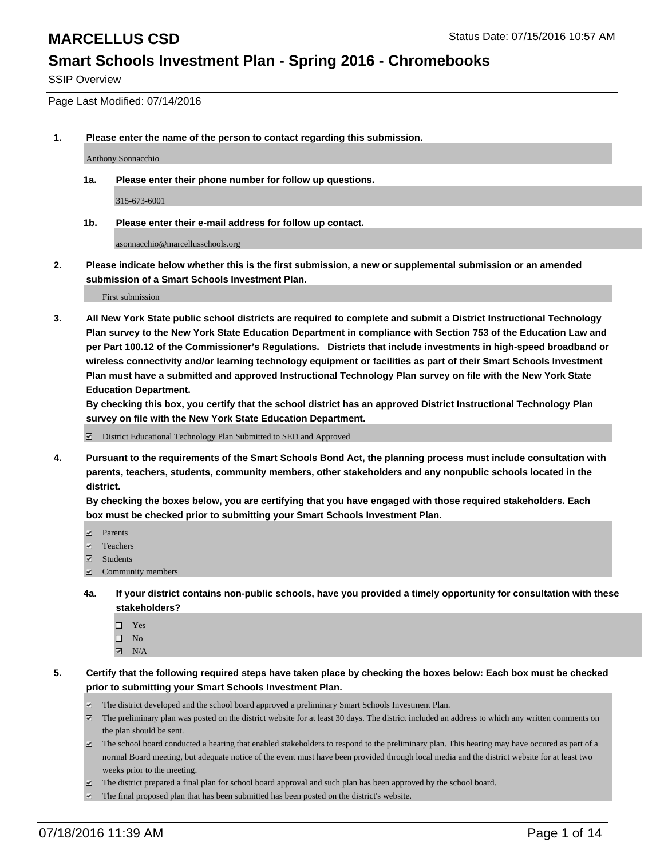SSIP Overview

Page Last Modified: 07/14/2016

**1. Please enter the name of the person to contact regarding this submission.**

Anthony Sonnacchio

**1a. Please enter their phone number for follow up questions.**

315-673-6001

**1b. Please enter their e-mail address for follow up contact.**

asonnacchio@marcellusschools.org

**2. Please indicate below whether this is the first submission, a new or supplemental submission or an amended submission of a Smart Schools Investment Plan.**

First submission

**3. All New York State public school districts are required to complete and submit a District Instructional Technology Plan survey to the New York State Education Department in compliance with Section 753 of the Education Law and per Part 100.12 of the Commissioner's Regulations. Districts that include investments in high-speed broadband or wireless connectivity and/or learning technology equipment or facilities as part of their Smart Schools Investment Plan must have a submitted and approved Instructional Technology Plan survey on file with the New York State Education Department.** 

**By checking this box, you certify that the school district has an approved District Instructional Technology Plan survey on file with the New York State Education Department.**

District Educational Technology Plan Submitted to SED and Approved

**4. Pursuant to the requirements of the Smart Schools Bond Act, the planning process must include consultation with parents, teachers, students, community members, other stakeholders and any nonpublic schools located in the district.** 

**By checking the boxes below, you are certifying that you have engaged with those required stakeholders. Each box must be checked prior to submitting your Smart Schools Investment Plan.**

- **Parents**
- □ Teachers
- $\blacksquare$  Students
- Community members
- **4a. If your district contains non-public schools, have you provided a timely opportunity for consultation with these stakeholders?**
	- $\Box$  Yes  $\square$  No
	- $\boxtimes$  N/A
- **5. Certify that the following required steps have taken place by checking the boxes below: Each box must be checked prior to submitting your Smart Schools Investment Plan.**
	- The district developed and the school board approved a preliminary Smart Schools Investment Plan.
	- $\boxdot$  The preliminary plan was posted on the district website for at least 30 days. The district included an address to which any written comments on the plan should be sent.
	- $\Box$  The school board conducted a hearing that enabled stakeholders to respond to the preliminary plan. This hearing may have occured as part of a normal Board meeting, but adequate notice of the event must have been provided through local media and the district website for at least two weeks prior to the meeting.
	- The district prepared a final plan for school board approval and such plan has been approved by the school board.
	- $\boxdot$  The final proposed plan that has been submitted has been posted on the district's website.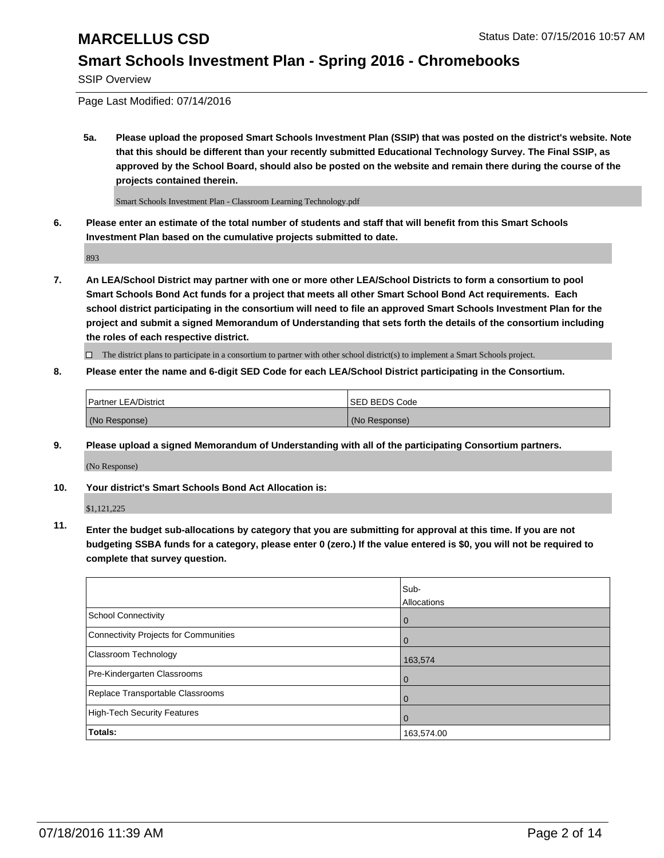SSIP Overview

Page Last Modified: 07/14/2016

**5a. Please upload the proposed Smart Schools Investment Plan (SSIP) that was posted on the district's website. Note that this should be different than your recently submitted Educational Technology Survey. The Final SSIP, as approved by the School Board, should also be posted on the website and remain there during the course of the projects contained therein.**

Smart Schools Investment Plan - Classroom Learning Technology.pdf

**6. Please enter an estimate of the total number of students and staff that will benefit from this Smart Schools Investment Plan based on the cumulative projects submitted to date.**

893

**7. An LEA/School District may partner with one or more other LEA/School Districts to form a consortium to pool Smart Schools Bond Act funds for a project that meets all other Smart School Bond Act requirements. Each school district participating in the consortium will need to file an approved Smart Schools Investment Plan for the project and submit a signed Memorandum of Understanding that sets forth the details of the consortium including the roles of each respective district.**

 $\Box$  The district plans to participate in a consortium to partner with other school district(s) to implement a Smart Schools project.

### **8. Please enter the name and 6-digit SED Code for each LEA/School District participating in the Consortium.**

| Partner LEA/District | <b>ISED BEDS Code</b> |
|----------------------|-----------------------|
| (No Response)        | (No Response)         |

**9. Please upload a signed Memorandum of Understanding with all of the participating Consortium partners.** (No Response)

**10. Your district's Smart Schools Bond Act Allocation is:**

\$1,121,225

**11. Enter the budget sub-allocations by category that you are submitting for approval at this time. If you are not budgeting SSBA funds for a category, please enter 0 (zero.) If the value entered is \$0, you will not be required to complete that survey question.**

|                                       | Sub-        |
|---------------------------------------|-------------|
|                                       | Allocations |
| <b>School Connectivity</b>            | 0           |
| Connectivity Projects for Communities | $\Omega$    |
| Classroom Technology                  | 163,574     |
| Pre-Kindergarten Classrooms           | $\Omega$    |
| Replace Transportable Classrooms      | 0           |
| High-Tech Security Features           | 0           |
| Totals:                               | 163,574.00  |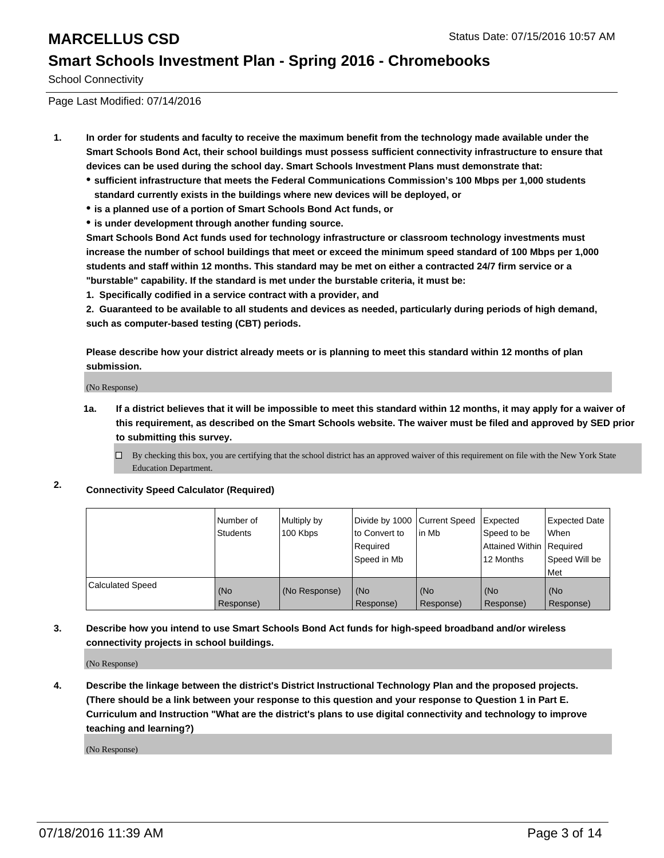School Connectivity

Page Last Modified: 07/14/2016

- **1. In order for students and faculty to receive the maximum benefit from the technology made available under the Smart Schools Bond Act, their school buildings must possess sufficient connectivity infrastructure to ensure that devices can be used during the school day. Smart Schools Investment Plans must demonstrate that:**
	- **sufficient infrastructure that meets the Federal Communications Commission's 100 Mbps per 1,000 students standard currently exists in the buildings where new devices will be deployed, or**
	- **is a planned use of a portion of Smart Schools Bond Act funds, or**
	- **is under development through another funding source.**

**Smart Schools Bond Act funds used for technology infrastructure or classroom technology investments must increase the number of school buildings that meet or exceed the minimum speed standard of 100 Mbps per 1,000 students and staff within 12 months. This standard may be met on either a contracted 24/7 firm service or a "burstable" capability. If the standard is met under the burstable criteria, it must be:**

**1. Specifically codified in a service contract with a provider, and**

**2. Guaranteed to be available to all students and devices as needed, particularly during periods of high demand, such as computer-based testing (CBT) periods.**

**Please describe how your district already meets or is planning to meet this standard within 12 months of plan submission.**

(No Response)

- **1a. If a district believes that it will be impossible to meet this standard within 12 months, it may apply for a waiver of this requirement, as described on the Smart Schools website. The waiver must be filed and approved by SED prior to submitting this survey.**
	- $\Box$  By checking this box, you are certifying that the school district has an approved waiver of this requirement on file with the New York State Education Department.
- **2. Connectivity Speed Calculator (Required)**

|                         | l Number of<br><b>Students</b> | Multiply by<br>100 Kbps | Divide by 1000 Current Speed<br>to Convert to<br>Reauired<br>Speed in Mb | lin Mb           | Expected<br>Speed to be<br>Attained Within   Required<br>12 Months | <b>Expected Date</b><br><b>When</b><br>Speed Will be<br>l Met |
|-------------------------|--------------------------------|-------------------------|--------------------------------------------------------------------------|------------------|--------------------------------------------------------------------|---------------------------------------------------------------|
| <b>Calculated Speed</b> | (No<br>Response)               | (No Response)           | (No<br>Response)                                                         | (No<br>Response) | (No<br>Response)                                                   | l (No<br>Response)                                            |

### **3. Describe how you intend to use Smart Schools Bond Act funds for high-speed broadband and/or wireless connectivity projects in school buildings.**

(No Response)

**4. Describe the linkage between the district's District Instructional Technology Plan and the proposed projects. (There should be a link between your response to this question and your response to Question 1 in Part E. Curriculum and Instruction "What are the district's plans to use digital connectivity and technology to improve teaching and learning?)**

(No Response)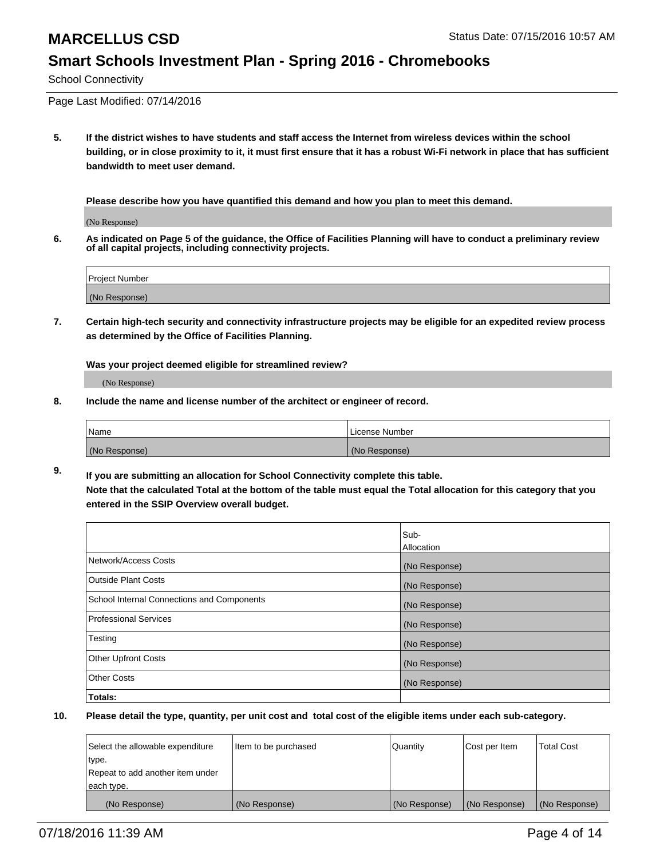School Connectivity

Page Last Modified: 07/14/2016

**5. If the district wishes to have students and staff access the Internet from wireless devices within the school building, or in close proximity to it, it must first ensure that it has a robust Wi-Fi network in place that has sufficient bandwidth to meet user demand.**

**Please describe how you have quantified this demand and how you plan to meet this demand.**

(No Response)

**6. As indicated on Page 5 of the guidance, the Office of Facilities Planning will have to conduct a preliminary review of all capital projects, including connectivity projects.**

| Project Number |  |
|----------------|--|
| (No Response)  |  |

**7. Certain high-tech security and connectivity infrastructure projects may be eligible for an expedited review process as determined by the Office of Facilities Planning.**

**Was your project deemed eligible for streamlined review?**

(No Response)

**8. Include the name and license number of the architect or engineer of record.**

| <b>Name</b>   | License Number |
|---------------|----------------|
| (No Response) | (No Response)  |

**9. If you are submitting an allocation for School Connectivity complete this table. Note that the calculated Total at the bottom of the table must equal the Total allocation for this category that you entered in the SSIP Overview overall budget.** 

|                                            | Sub-          |
|--------------------------------------------|---------------|
|                                            | Allocation    |
| Network/Access Costs                       | (No Response) |
| <b>Outside Plant Costs</b>                 | (No Response) |
| School Internal Connections and Components | (No Response) |
| Professional Services                      | (No Response) |
| Testing                                    | (No Response) |
| <b>Other Upfront Costs</b>                 | (No Response) |
| <b>Other Costs</b>                         | (No Response) |
| Totals:                                    |               |

| Select the allowable expenditure | Item to be purchased | Quantity      | Cost per Item | <b>Total Cost</b> |
|----------------------------------|----------------------|---------------|---------------|-------------------|
| type.                            |                      |               |               |                   |
| Repeat to add another item under |                      |               |               |                   |
| each type.                       |                      |               |               |                   |
| (No Response)                    | (No Response)        | (No Response) | (No Response) | (No Response)     |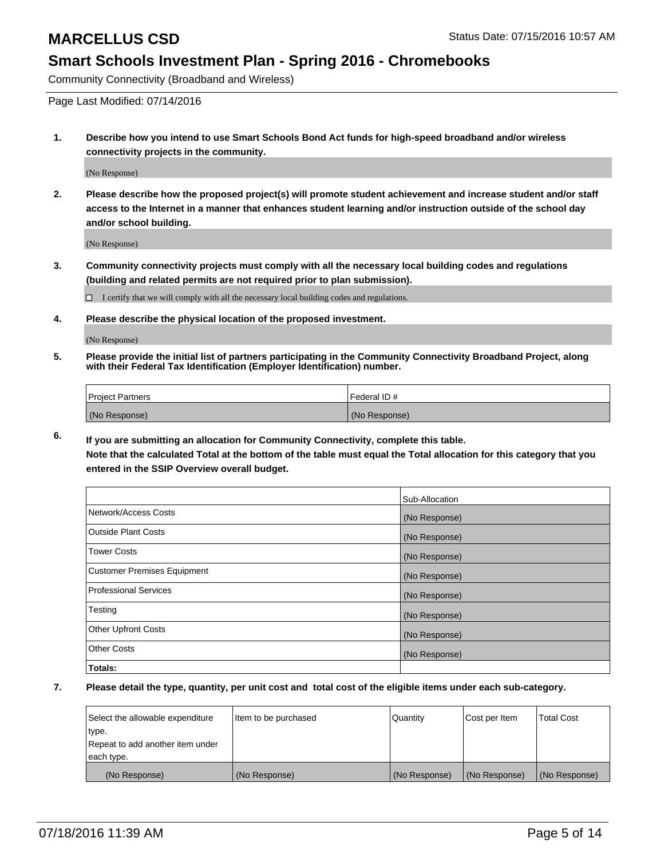Community Connectivity (Broadband and Wireless)

Page Last Modified: 07/14/2016

**1. Describe how you intend to use Smart Schools Bond Act funds for high-speed broadband and/or wireless connectivity projects in the community.**

(No Response)

**2. Please describe how the proposed project(s) will promote student achievement and increase student and/or staff access to the Internet in a manner that enhances student learning and/or instruction outside of the school day and/or school building.**

(No Response)

**3. Community connectivity projects must comply with all the necessary local building codes and regulations (building and related permits are not required prior to plan submission).**

 $\Box$  I certify that we will comply with all the necessary local building codes and regulations.

**4. Please describe the physical location of the proposed investment.**

(No Response)

**5. Please provide the initial list of partners participating in the Community Connectivity Broadband Project, along with their Federal Tax Identification (Employer Identification) number.**

| Project Partners | <b>IFederal ID#</b> |
|------------------|---------------------|
| (No Response)    | (No Response)       |

**6. If you are submitting an allocation for Community Connectivity, complete this table. Note that the calculated Total at the bottom of the table must equal the Total allocation for this category that you**

**entered in the SSIP Overview overall budget.**

|                             | Sub-Allocation |
|-----------------------------|----------------|
| Network/Access Costs        | (No Response)  |
| <b>Outside Plant Costs</b>  | (No Response)  |
| Tower Costs                 | (No Response)  |
| Customer Premises Equipment | (No Response)  |
| Professional Services       | (No Response)  |
| Testing                     | (No Response)  |
| <b>Other Upfront Costs</b>  | (No Response)  |
| Other Costs                 | (No Response)  |
| Totals:                     |                |

| Select the allowable expenditure | Item to be purchased | Quantity      | Cost per Item | <b>Total Cost</b> |
|----------------------------------|----------------------|---------------|---------------|-------------------|
| type.                            |                      |               |               |                   |
| Repeat to add another item under |                      |               |               |                   |
| each type.                       |                      |               |               |                   |
| (No Response)                    | (No Response)        | (No Response) | (No Response) | (No Response)     |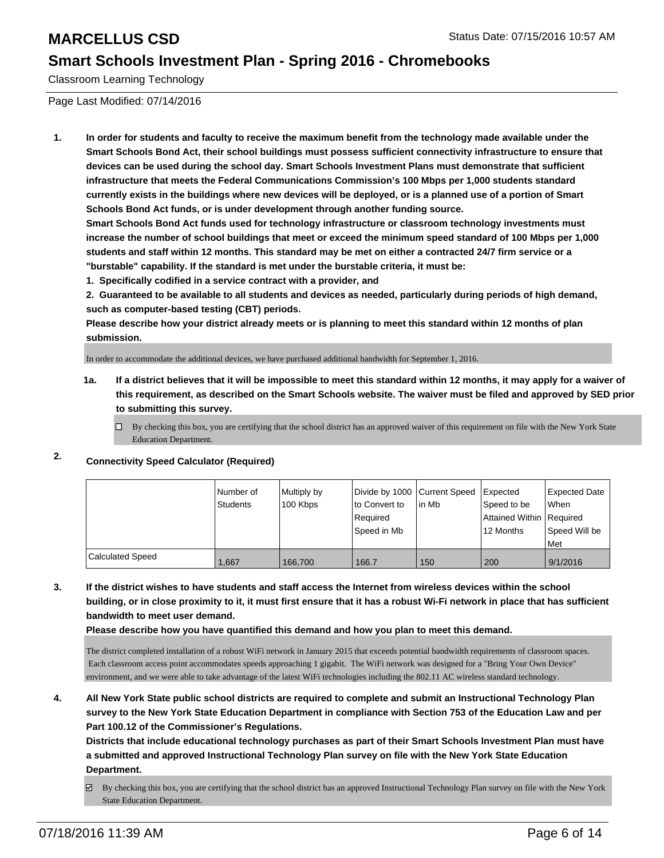Classroom Learning Technology

Page Last Modified: 07/14/2016

**1. In order for students and faculty to receive the maximum benefit from the technology made available under the Smart Schools Bond Act, their school buildings must possess sufficient connectivity infrastructure to ensure that devices can be used during the school day. Smart Schools Investment Plans must demonstrate that sufficient infrastructure that meets the Federal Communications Commission's 100 Mbps per 1,000 students standard currently exists in the buildings where new devices will be deployed, or is a planned use of a portion of Smart Schools Bond Act funds, or is under development through another funding source.**

**Smart Schools Bond Act funds used for technology infrastructure or classroom technology investments must increase the number of school buildings that meet or exceed the minimum speed standard of 100 Mbps per 1,000 students and staff within 12 months. This standard may be met on either a contracted 24/7 firm service or a "burstable" capability. If the standard is met under the burstable criteria, it must be:**

**1. Specifically codified in a service contract with a provider, and**

**2. Guaranteed to be available to all students and devices as needed, particularly during periods of high demand, such as computer-based testing (CBT) periods.**

**Please describe how your district already meets or is planning to meet this standard within 12 months of plan submission.**

In order to accommodate the additional devices, we have purchased additional bandwidth for September 1, 2016.

- **1a. If a district believes that it will be impossible to meet this standard within 12 months, it may apply for a waiver of this requirement, as described on the Smart Schools website. The waiver must be filed and approved by SED prior to submitting this survey.**
	- $\Box$  By checking this box, you are certifying that the school district has an approved waiver of this requirement on file with the New York State Education Department.

### **2. Connectivity Speed Calculator (Required)**

|                         | l Number of<br><b>Students</b> | Multiply by<br>100 Kbps | Divide by 1000 Current Speed<br>Ito Convert to<br>Required<br>Speed in Mb | lin Mb | <b>I</b> Expected<br>Speed to be<br>Attained Within   Required<br>12 Months | Expected Date<br>l When<br>Speed Will be<br>l Met |
|-------------------------|--------------------------------|-------------------------|---------------------------------------------------------------------------|--------|-----------------------------------------------------------------------------|---------------------------------------------------|
| <b>Calculated Speed</b> | 1,667                          | 166,700                 | 166.7                                                                     | 150    | 200                                                                         | 9/1/2016                                          |

**3. If the district wishes to have students and staff access the Internet from wireless devices within the school building, or in close proximity to it, it must first ensure that it has a robust Wi-Fi network in place that has sufficient bandwidth to meet user demand.**

**Please describe how you have quantified this demand and how you plan to meet this demand.**

The district completed installation of a robust WiFi network in January 2015 that exceeds potential bandwidth requirements of classroom spaces. Each classroom access point accommodates speeds approaching 1 gigabit. The WiFi network was designed for a "Bring Your Own Device" environment, and we were able to take advantage of the latest WiFi technologies including the 802.11 AC wireless standard technology.

**4. All New York State public school districts are required to complete and submit an Instructional Technology Plan survey to the New York State Education Department in compliance with Section 753 of the Education Law and per Part 100.12 of the Commissioner's Regulations.**

**Districts that include educational technology purchases as part of their Smart Schools Investment Plan must have a submitted and approved Instructional Technology Plan survey on file with the New York State Education Department.**

By checking this box, you are certifying that the school district has an approved Instructional Technology Plan survey on file with the New York State Education Department.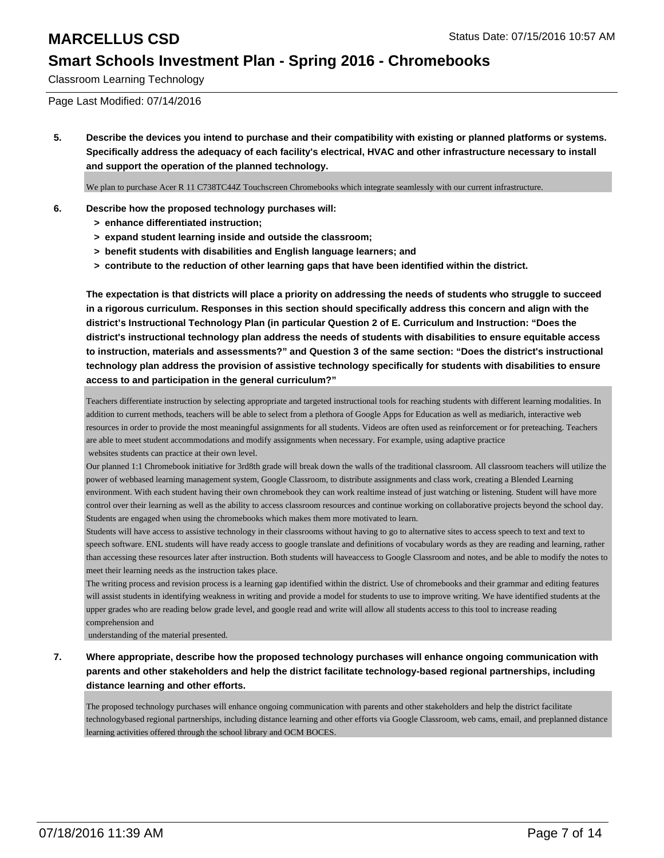Classroom Learning Technology

Page Last Modified: 07/14/2016

**5. Describe the devices you intend to purchase and their compatibility with existing or planned platforms or systems. Specifically address the adequacy of each facility's electrical, HVAC and other infrastructure necessary to install and support the operation of the planned technology.**

We plan to purchase Acer R 11 C738T C44Z Touchscreen Chromebooks which integrate seamlessly with our current infrastructure.

- **6. Describe how the proposed technology purchases will:**
	- **> enhance differentiated instruction;**
	- **> expand student learning inside and outside the classroom;**
	- **> benefit students with disabilities and English language learners; and**
	- **> contribute to the reduction of other learning gaps that have been identified within the district.**

**The expectation is that districts will place a priority on addressing the needs of students who struggle to succeed in a rigorous curriculum. Responses in this section should specifically address this concern and align with the district's Instructional Technology Plan (in particular Question 2 of E. Curriculum and Instruction: "Does the district's instructional technology plan address the needs of students with disabilities to ensure equitable access to instruction, materials and assessments?" and Question 3 of the same section: "Does the district's instructional technology plan address the provision of assistive technology specifically for students with disabilities to ensure access to and participation in the general curriculum?"**

Teachers differentiate instruction by selecting appropriate and targeted instructional tools for reaching students with different learning modalities. In addition to current methods, teachers will be able to select from a plethora of Google Apps for Education as well as mediarich, interactive web resources in order to provide the most meaningful assignments for all students. Videos are often used as reinforcement or for preteaching. Teachers are able to meet student accommodations and modify assignments when necessary. For example, using adaptive practice websites students can practice at their own level.

Our planned 1:1 Chromebook initiative for 3rd 8th grade will break down the walls of the traditional classroom. All classroom teachers will utilize the power of web based learning management system, Google Classroom, to distribute assignments and class work, creating a Blended Learning environment. With each student having their own chromebook they can work realtime instead of just watching or listening. Student will have more control over their learning as well as the ability to access classroom resources and continue working on collaborative projects beyond the school day. Students are engaged when using the chromebooks which makes them more motivated to learn.

Students will have access to assistive technology in their classrooms without having to go to alternative sites to access speech to text and text to speech software. ENL students will have ready access to google translate and definitions of vocabulary words as they are reading and learning, rather than accessing these resources later after instruction. Both students will haveaccess to Google Classroom and notes, and be able to modify the notes to meet their learning needs as the instruction takes place.

The writing process and revision process is a learning gap identified within the district. Use of chromebooks and their grammar and editing features will assist students in identifying weakness in writing and provide a model for students to use to improve writing. We have identified students at the upper grades who are reading below grade level, and google read and write will allow all students access to this tool to increase reading comprehension and

understanding of the material presented.

**7. Where appropriate, describe how the proposed technology purchases will enhance ongoing communication with parents and other stakeholders and help the district facilitate technology-based regional partnerships, including distance learning and other efforts.**

The proposed technology purchases will enhance ongoing communication with parents and other stakeholders and help the district facilitate technologybased regional partnerships, including distance learning and other efforts via Google Classroom, web cams, email, and preplanned distance learning activities offered through the school library and OCM BOCES.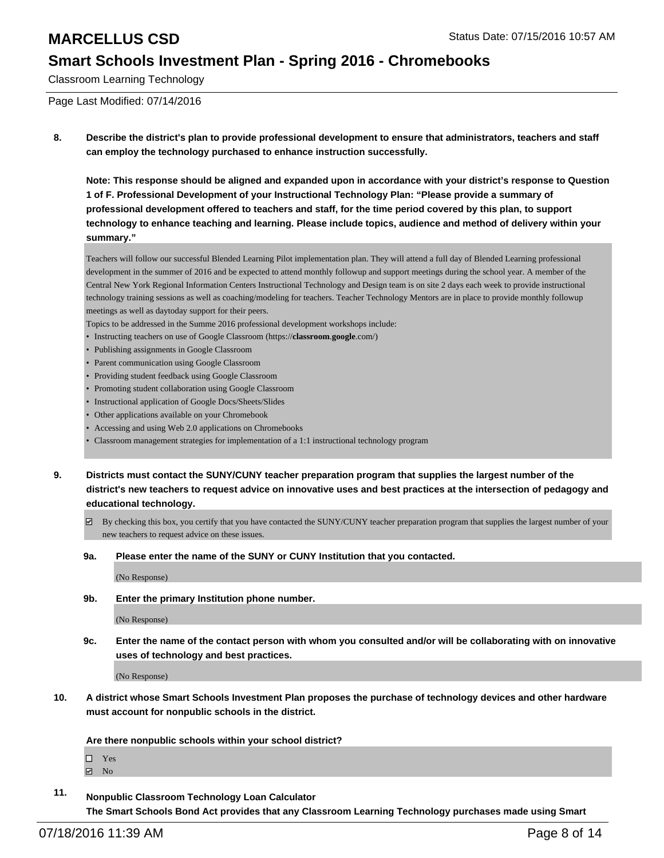Classroom Learning Technology

Page Last Modified: 07/14/2016

**8. Describe the district's plan to provide professional development to ensure that administrators, teachers and staff can employ the technology purchased to enhance instruction successfully.**

**Note: This response should be aligned and expanded upon in accordance with your district's response to Question 1 of F. Professional Development of your Instructional Technology Plan: "Please provide a summary of professional development offered to teachers and staff, for the time period covered by this plan, to support technology to enhance teaching and learning. Please include topics, audience and method of delivery within your summary."**

Teachers will follow our successful Blended Learning Pilot implementation plan. They will attend a full day of Blended Learning professional development in the summer of 2016 and be expected to attend monthly followup and support meetings during the school year. A member of the Central New York Regional Information Centers Instructional Technology and Design team is on site 2 days each week to provide instructional technology training sessions as well as coaching/modeling for teachers. Teacher Technology Mentors are in place to provide monthly followup meetings as well as dayto day support for their peers.

Topics to be addressed in the Summe 2016 professional development workshops include:

- Instructing teachers on use of Google Classroom (https://**classroom**.**google**.com/)
- Publishing assignments in Google Classroom
- Parent communication using Google Classroom
- Providing student feedback using Google Classroom
- Promoting student collaboration using Google Classroom
- Instructional application of Google Docs/Sheets/Slides
- Other applications available on your Chromebook
- Accessing and using Web 2.0 applications on Chromebooks
- Classroom management strategies for implementation of a 1:1 instructional technology program
- **9. Districts must contact the SUNY/CUNY teacher preparation program that supplies the largest number of the district's new teachers to request advice on innovative uses and best practices at the intersection of pedagogy and educational technology.**
	- $\boxtimes$  By checking this box, you certify that you have contacted the SUNY/CUNY teacher preparation program that supplies the largest number of your new teachers to request advice on these issues.
	- **9a. Please enter the name of the SUNY or CUNY Institution that you contacted.**

(No Response)

**9b. Enter the primary Institution phone number.**

(No Response)

**9c. Enter the name of the contact person with whom you consulted and/or will be collaborating with on innovative uses of technology and best practices.**

(No Response)

**10. A district whose Smart Schools Investment Plan proposes the purchase of technology devices and other hardware must account for nonpublic schools in the district.**

**Are there nonpublic schools within your school district?**

□ Yes

 $\boxdot$  No

**11. Nonpublic Classroom Technology Loan Calculator The Smart Schools Bond Act provides that any Classroom Learning Technology purchases made using Smart**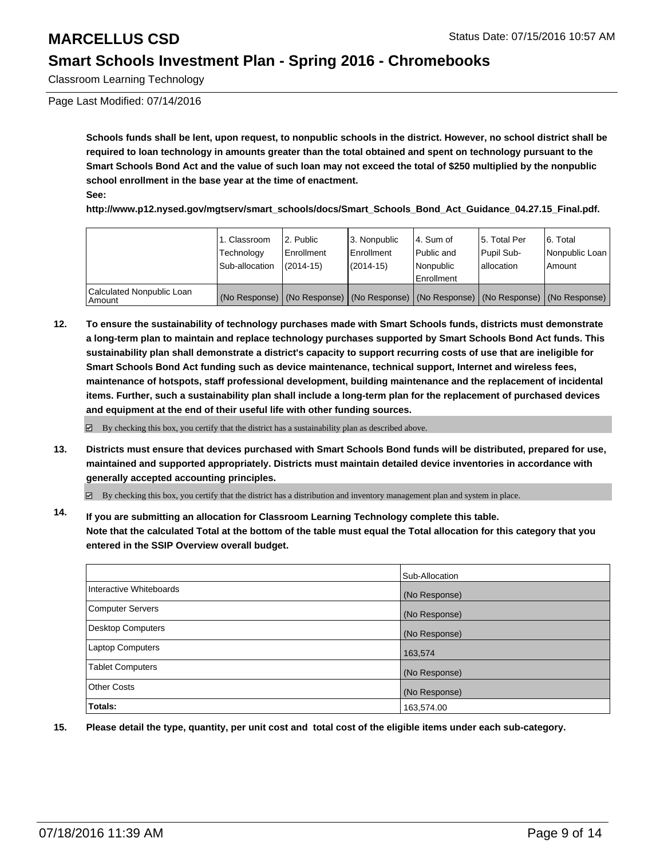Classroom Learning Technology

Page Last Modified: 07/14/2016

**Schools funds shall be lent, upon request, to nonpublic schools in the district. However, no school district shall be required to loan technology in amounts greater than the total obtained and spent on technology pursuant to the Smart Schools Bond Act and the value of such loan may not exceed the total of \$250 multiplied by the nonpublic school enrollment in the base year at the time of enactment. See:**

**http://www.p12.nysed.gov/mgtserv/smart\_schools/docs/Smart\_Schools\_Bond\_Act\_Guidance\_04.27.15\_Final.pdf.**

|                                         | 1. Classroom<br>Technology<br>Sub-allocation | 2. Public<br>Enrollment<br>$(2014-15)$ | 3. Nonpublic<br><b>Enrollment</b><br>$(2014 - 15)$ | l 4. Sum of<br>Public and<br>l Nonpublic<br>Enrollment                | 5. Total Per<br>Pupil Sub-<br>lallocation | 6. Total<br>Nonpublic Loan<br>Amount |
|-----------------------------------------|----------------------------------------------|----------------------------------------|----------------------------------------------------|-----------------------------------------------------------------------|-------------------------------------------|--------------------------------------|
| Calculated Nonpublic Loan<br>l Amount i | (No Response)                                |                                        |                                                    | (No Response) (No Response) (No Response) (No Response) (No Response) |                                           |                                      |

**12. To ensure the sustainability of technology purchases made with Smart Schools funds, districts must demonstrate a long-term plan to maintain and replace technology purchases supported by Smart Schools Bond Act funds. This sustainability plan shall demonstrate a district's capacity to support recurring costs of use that are ineligible for Smart Schools Bond Act funding such as device maintenance, technical support, Internet and wireless fees, maintenance of hotspots, staff professional development, building maintenance and the replacement of incidental items. Further, such a sustainability plan shall include a long-term plan for the replacement of purchased devices and equipment at the end of their useful life with other funding sources.**

 $\boxdot$  By checking this box, you certify that the district has a sustainability plan as described above.

**13. Districts must ensure that devices purchased with Smart Schools Bond funds will be distributed, prepared for use, maintained and supported appropriately. Districts must maintain detailed device inventories in accordance with generally accepted accounting principles.**

By checking this box, you certify that the district has a distribution and inventory management plan and system in place.

**14. If you are submitting an allocation for Classroom Learning Technology complete this table. Note that the calculated Total at the bottom of the table must equal the Total allocation for this category that you entered in the SSIP Overview overall budget.**

|                          | Sub-Allocation |
|--------------------------|----------------|
| Interactive Whiteboards  | (No Response)  |
| Computer Servers         | (No Response)  |
| <b>Desktop Computers</b> | (No Response)  |
| <b>Laptop Computers</b>  | 163,574        |
| <b>Tablet Computers</b>  | (No Response)  |
| <b>Other Costs</b>       | (No Response)  |
| Totals:                  | 163,574.00     |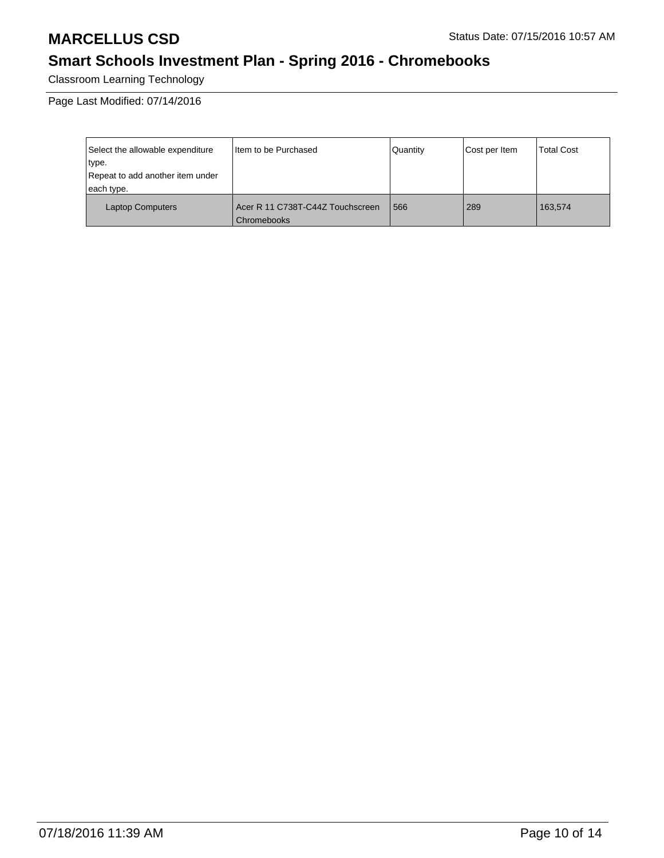# **MARCELLUS CSD** Status Date: 07/15/2016 10:57 AM

# **Smart Schools Investment Plan - Spring 2016 - Chromebooks**

Classroom Learning Technology

Page Last Modified: 07/14/2016

| Select the allowable expenditure | I tem to be Purchased                           | Quantity | Cost per Item | <b>Total Cost</b> |
|----------------------------------|-------------------------------------------------|----------|---------------|-------------------|
| type.                            |                                                 |          |               |                   |
| Repeat to add another item under |                                                 |          |               |                   |
| each type.                       |                                                 |          |               |                   |
| <b>Laptop Computers</b>          | Acer R 11 C738T-C44Z Touchscreen<br>Chromebooks | 566      | 289           | 163.574           |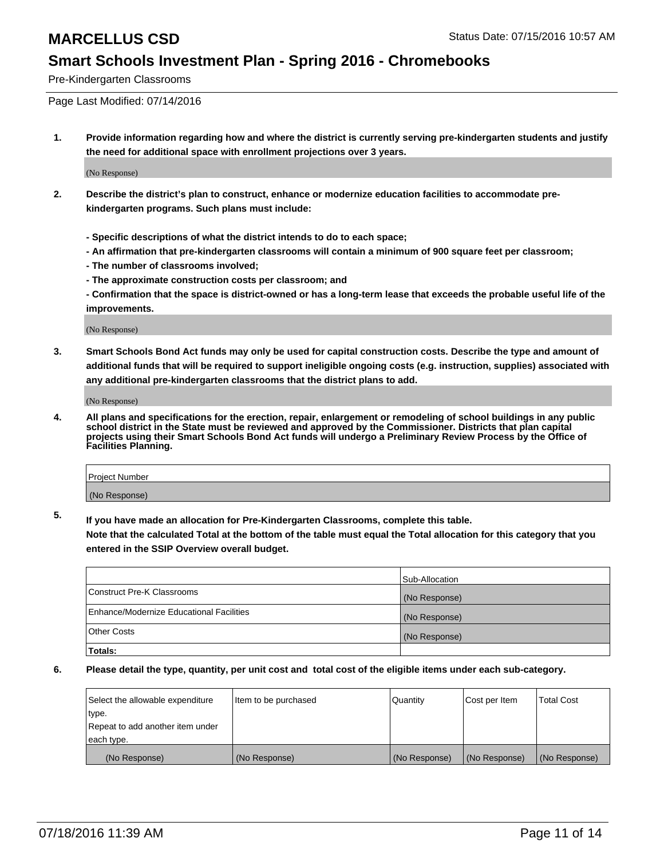Pre-Kindergarten Classrooms

Page Last Modified: 07/14/2016

**1. Provide information regarding how and where the district is currently serving pre-kindergarten students and justify the need for additional space with enrollment projections over 3 years.**

(No Response)

- **2. Describe the district's plan to construct, enhance or modernize education facilities to accommodate prekindergarten programs. Such plans must include:**
	- **Specific descriptions of what the district intends to do to each space;**
	- **An affirmation that pre-kindergarten classrooms will contain a minimum of 900 square feet per classroom;**
	- **The number of classrooms involved;**
	- **The approximate construction costs per classroom; and**
	- **Confirmation that the space is district-owned or has a long-term lease that exceeds the probable useful life of the improvements.**

(No Response)

**3. Smart Schools Bond Act funds may only be used for capital construction costs. Describe the type and amount of additional funds that will be required to support ineligible ongoing costs (e.g. instruction, supplies) associated with any additional pre-kindergarten classrooms that the district plans to add.**

(No Response)

**4. All plans and specifications for the erection, repair, enlargement or remodeling of school buildings in any public school district in the State must be reviewed and approved by the Commissioner. Districts that plan capital projects using their Smart Schools Bond Act funds will undergo a Preliminary Review Process by the Office of Facilities Planning.**

| <b>Project Number</b> |  |
|-----------------------|--|
| (No Response)         |  |

**5. If you have made an allocation for Pre-Kindergarten Classrooms, complete this table.**

**Note that the calculated Total at the bottom of the table must equal the Total allocation for this category that you entered in the SSIP Overview overall budget.**

|                                          | Sub-Allocation |
|------------------------------------------|----------------|
| Construct Pre-K Classrooms               | (No Response)  |
| Enhance/Modernize Educational Facilities | (No Response)  |
| <b>Other Costs</b>                       | (No Response)  |
| Totals:                                  |                |

| Select the allowable expenditure | litem to be purchased | Quantity      | Cost per Item | <b>Total Cost</b> |
|----------------------------------|-----------------------|---------------|---------------|-------------------|
| type.                            |                       |               |               |                   |
| Repeat to add another item under |                       |               |               |                   |
| each type.                       |                       |               |               |                   |
| (No Response)                    | (No Response)         | (No Response) | (No Response) | (No Response)     |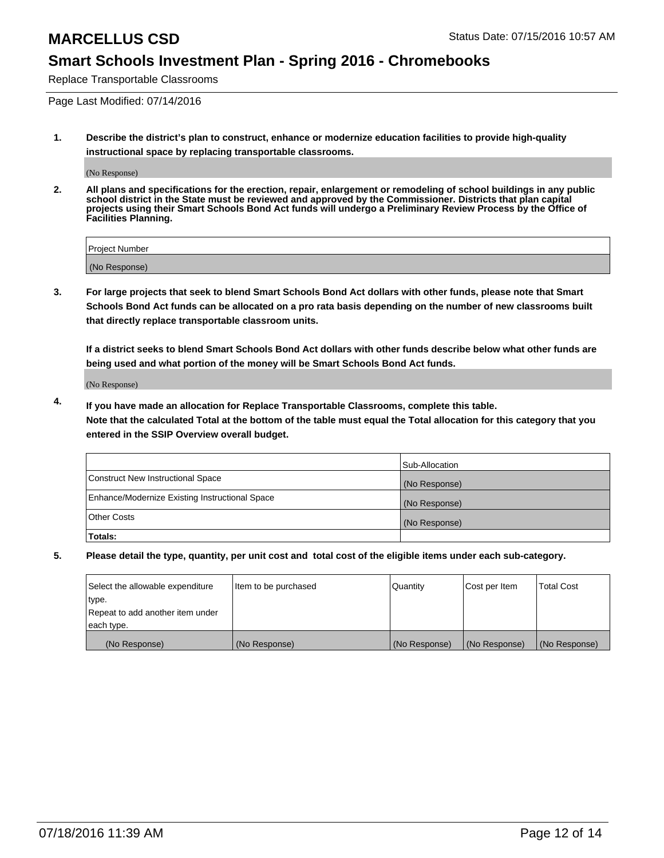Replace Transportable Classrooms

Page Last Modified: 07/14/2016

**1. Describe the district's plan to construct, enhance or modernize education facilities to provide high-quality instructional space by replacing transportable classrooms.**

(No Response)

**2. All plans and specifications for the erection, repair, enlargement or remodeling of school buildings in any public school district in the State must be reviewed and approved by the Commissioner. Districts that plan capital projects using their Smart Schools Bond Act funds will undergo a Preliminary Review Process by the Office of Facilities Planning.**

| Project Number |  |
|----------------|--|
| (No Response)  |  |

**3. For large projects that seek to blend Smart Schools Bond Act dollars with other funds, please note that Smart Schools Bond Act funds can be allocated on a pro rata basis depending on the number of new classrooms built that directly replace transportable classroom units.**

**If a district seeks to blend Smart Schools Bond Act dollars with other funds describe below what other funds are being used and what portion of the money will be Smart Schools Bond Act funds.**

(No Response)

**4. If you have made an allocation for Replace Transportable Classrooms, complete this table. Note that the calculated Total at the bottom of the table must equal the Total allocation for this category that you entered in the SSIP Overview overall budget.**

|                                                | Sub-Allocation |
|------------------------------------------------|----------------|
| Construct New Instructional Space              | (No Response)  |
| Enhance/Modernize Existing Instructional Space | (No Response)  |
| Other Costs                                    | (No Response)  |
| Totals:                                        |                |

| Select the allowable expenditure | Item to be purchased | Quantity      | Cost per Item | <b>Total Cost</b> |
|----------------------------------|----------------------|---------------|---------------|-------------------|
| type.                            |                      |               |               |                   |
| Repeat to add another item under |                      |               |               |                   |
| each type.                       |                      |               |               |                   |
| (No Response)                    | (No Response)        | (No Response) | (No Response) | (No Response)     |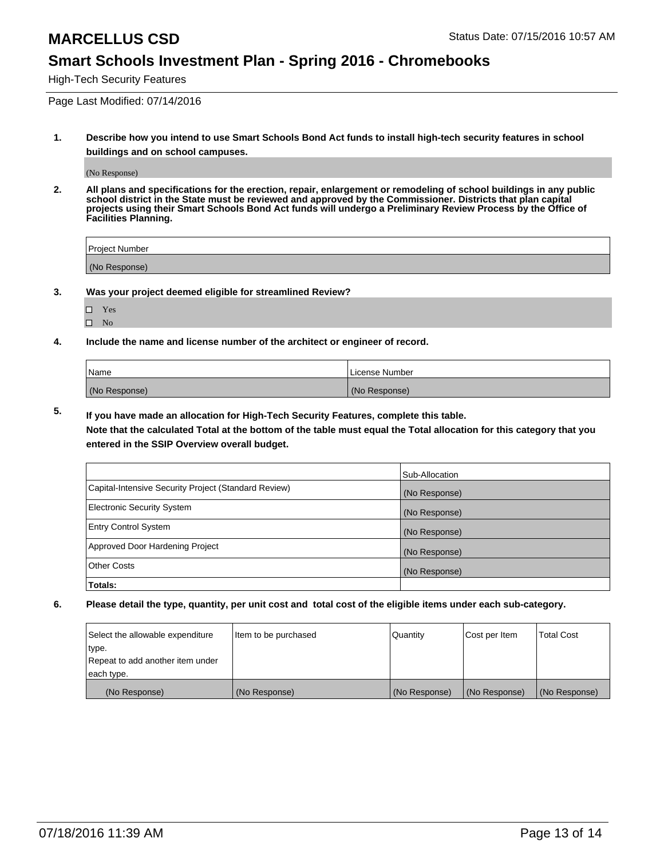High-Tech Security Features

Page Last Modified: 07/14/2016

**1. Describe how you intend to use Smart Schools Bond Act funds to install high-tech security features in school buildings and on school campuses.**

(No Response)

**2. All plans and specifications for the erection, repair, enlargement or remodeling of school buildings in any public school district in the State must be reviewed and approved by the Commissioner. Districts that plan capital projects using their Smart Schools Bond Act funds will undergo a Preliminary Review Process by the Office of Facilities Planning.** 

| Project Number |  |
|----------------|--|
| (No Response)  |  |

**3. Was your project deemed eligible for streamlined Review?**

| H | Yes |  |
|---|-----|--|
| П | Nο  |  |

**4. Include the name and license number of the architect or engineer of record.**

| Name          | License Number |
|---------------|----------------|
| (No Response) | (No Response)  |

**5. If you have made an allocation for High-Tech Security Features, complete this table.**

**Note that the calculated Total at the bottom of the table must equal the Total allocation for this category that you entered in the SSIP Overview overall budget.**

|                                                      | Sub-Allocation |
|------------------------------------------------------|----------------|
| Capital-Intensive Security Project (Standard Review) | (No Response)  |
| <b>Electronic Security System</b>                    | (No Response)  |
| <b>Entry Control System</b>                          | (No Response)  |
| Approved Door Hardening Project                      | (No Response)  |
| <b>Other Costs</b>                                   | (No Response)  |
| Totals:                                              |                |

| Select the allowable expenditure | litem to be purchased | Quantity      | Cost per Item | <b>Total Cost</b> |
|----------------------------------|-----------------------|---------------|---------------|-------------------|
| type.                            |                       |               |               |                   |
| Repeat to add another item under |                       |               |               |                   |
| each type.                       |                       |               |               |                   |
| (No Response)                    | (No Response)         | (No Response) | (No Response) | (No Response)     |